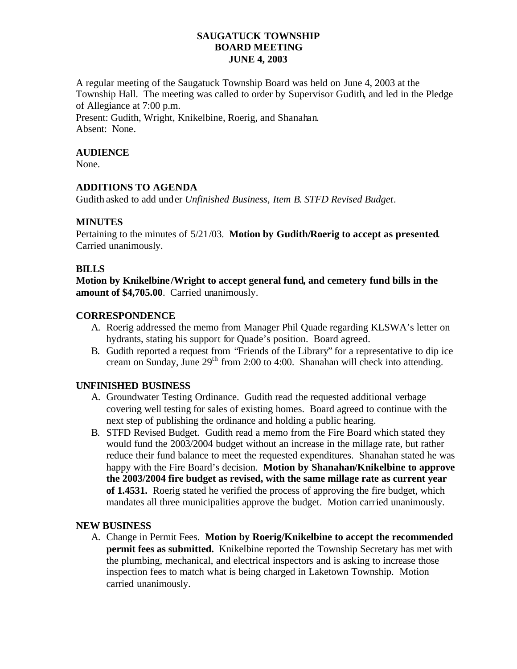# **SAUGATUCK TOWNSHIP BOARD MEETING JUNE 4, 2003**

A regular meeting of the Saugatuck Township Board was held on June 4, 2003 at the Township Hall. The meeting was called to order by Supervisor Gudith, and led in the Pledge of Allegiance at 7:00 p.m.

Present: Gudith, Wright, Knikelbine, Roerig, and Shanahan. Absent: None.

#### **AUDIENCE**

None.

### **ADDITIONS TO AGENDA**

Gudith asked to add under *Unfinished Business, Item B. STFD Revised Budget.*

## **MINUTES**

Pertaining to the minutes of 5/21/03. **Motion by Gudith/Roerig to accept as presented**. Carried unanimously.

#### **BILLS**

**Motion by Knikelbine /Wright to accept general fund, and cemetery fund bills in the amount of \$4,705.00**. Carried unanimously.

## **CORRESPONDENCE**

- A. Roerig addressed the memo from Manager Phil Quade regarding KLSWA's letter on hydrants, stating his support for Quade's position. Board agreed.
- B. Gudith reported a request from "Friends of the Library" for a representative to dip ice cream on Sunday, June  $29<sup>th</sup>$  from 2:00 to 4:00. Shanahan will check into attending.

# **UNFINISHED BUSINESS**

- A. Groundwater Testing Ordinance. Gudith read the requested additional verbage covering well testing for sales of existing homes. Board agreed to continue with the next step of publishing the ordinance and holding a public hearing.
- B. STFD Revised Budget. Gudith read a memo from the Fire Board which stated they would fund the 2003/2004 budget without an increase in the millage rate, but rather reduce their fund balance to meet the requested expenditures. Shanahan stated he was happy with the Fire Board's decision. **Motion by Shanahan/Knikelbine to approve the 2003/2004 fire budget as revised, with the same millage rate as current year of 1.4531.** Roerig stated he verified the process of approving the fire budget, which mandates all three municipalities approve the budget. Motion carried unanimously.

#### **NEW BUSINESS**

A. Change in Permit Fees. **Motion by Roerig/Knikelbine to accept the recommended permit fees as submitted.** Knikelbine reported the Township Secretary has met with the plumbing, mechanical, and electrical inspectors and is asking to increase those inspection fees to match what is being charged in Laketown Township. Motion carried unanimously.